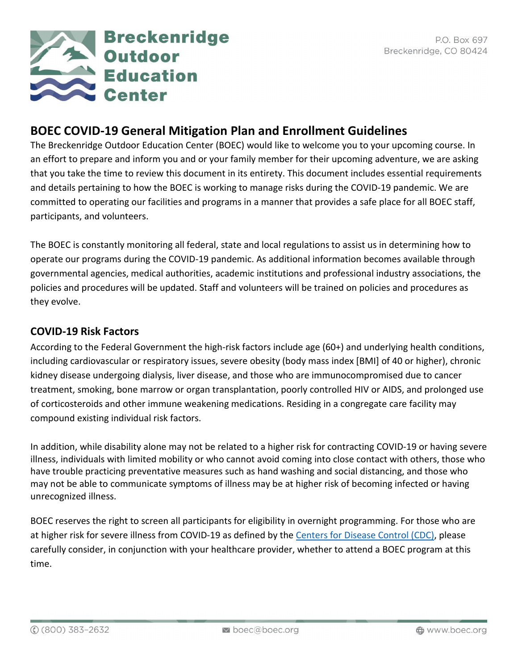

# **BOEC COVID-19 General Mitigation Plan and Enrollment Guidelines**

The Breckenridge Outdoor Education Center (BOEC) would like to welcome you to your upcoming course. In an effort to prepare and inform you and or your family member for their upcoming adventure, we are asking that you take the time to review this document in its entirety. This document includes essential requirements and details pertaining to how the BOEC is working to manage risks during the COVID-19 pandemic. We are committed to operating our facilities and programs in a manner that provides a safe place for all BOEC staff, participants, and volunteers.

The BOEC is constantly monitoring all federal, state and local regulations to assist us in determining how to operate our programs during the COVID-19 pandemic. As additional information becomes available through governmental agencies, medical authorities, academic institutions and professional industry associations, the policies and procedures will be updated. Staff and volunteers will be trained on policies and procedures as they evolve.

# **COVID-19 Risk Factors**

According to the Federal Government the high-risk factors include age (60+) and underlying health conditions, including cardiovascular or respiratory issues, severe obesity (body mass index [BMI] of 40 or higher), chronic kidney disease undergoing dialysis, liver disease, and those who are immunocompromised due to cancer treatment, smoking, bone marrow or organ transplantation, poorly controlled HIV or AIDS, and prolonged use of corticosteroids and other immune weakening medications. Residing in a congregate care facility may compound existing individual risk factors.

In addition, while disability alone may not be related to a higher risk for contracting COVID-19 or having severe illness, individuals with limited mobility or who cannot avoid coming into close contact with others, those who have trouble practicing preventative measures such as hand washing and social distancing, and those who may not be able to communicate symptoms of illness may be at higher risk of becoming infected or having unrecognized illness.

BOEC reserves the right to screen all participants for eligibility in overnight programming. For those who are at higher risk for severe illness from COVID-19 as defined by the [Centers for Disease Control \(CDC\),](https://www.cdc.gov/coronavirus/2019-ncov/need-extra-precautions/people-at-higher-risk.html) please carefully consider, in conjunction with your healthcare provider, whether to attend a BOEC program at this time.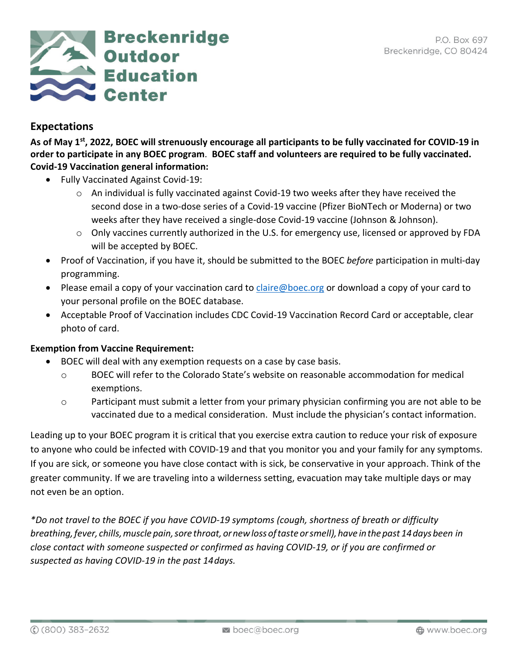

# **Expectations**

**As of May 1st, 2022, BOEC will strenuously encourage all participants to be fully vaccinated for COVID-19 in order to participate in any BOEC program**. **BOEC staff and volunteers are required to be fully vaccinated. Covid-19 Vaccination general information:** 

- Fully Vaccinated Against Covid-19:
	- o An individual is fully vaccinated against Covid-19 two weeks after they have received the second dose in a two-dose series of a Covid-19 vaccine (Pfizer BioNTech or Moderna) or two weeks after they have received a single-dose Covid-19 vaccine (Johnson & Johnson).
	- o Only vaccines currently authorized in the U.S. for emergency use, licensed or approved by FDA will be accepted by BOEC.
- Proof of Vaccination, if you have it, should be submitted to the BOEC *before* participation in multi-day programming.
- Please email a copy of your vaccination card to [claire@boec.org](mailto:claire@boec.org) or download a copy of your card to your personal profile on the BOEC database.
- Acceptable Proof of Vaccination includes CDC Covid-19 Vaccination Record Card or acceptable, clear photo of card.

### **Exemption from Vaccine Requirement:**

- BOEC will deal with any exemption requests on a case by case basis.
	- o BOEC will refer to the Colorado State's website on reasonable accommodation for medical exemptions.
	- $\circ$  Participant must submit a letter from your primary physician confirming you are not able to be vaccinated due to a medical consideration. Must include the physician's contact information.

Leading up to your BOEC program it is critical that you exercise extra caution to reduce your risk of exposure to anyone who could be infected with COVID-19 and that you monitor you and your family for any symptoms. If you are sick, or someone you have close contact with is sick, be conservative in your approach. Think of the greater community. If we are traveling into a wilderness setting, evacuation may take multiple days or may not even be an option.

*\*Do not travel to the BOEC if you have COVID-19 symptoms (cough, shortness of breath or difficulty breathing,fever, chills,muscle pain,sore throat, ornewloss oftaste orsmell),have inthepast 14daysbeen in close contact with someone suspected or confirmed as having COVID-19, or if you are confirmed or suspected as having COVID-19 in the past 14days.*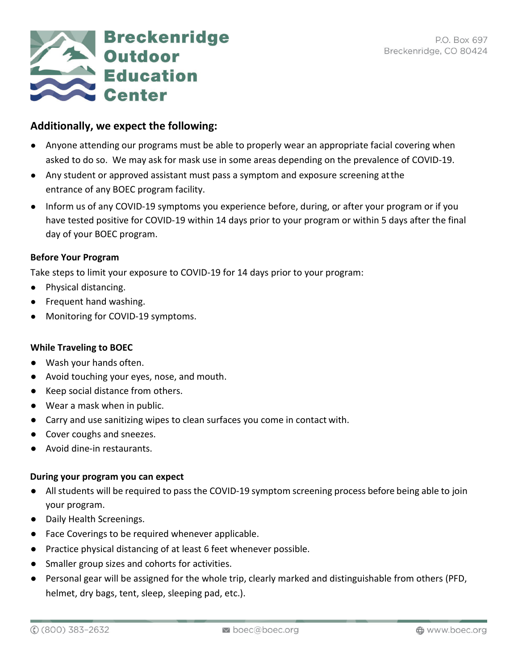

# **Additionally, we expect the following:**

- Anyone attending our programs must be able to properly wear an appropriate facial covering when asked to do so. We may ask for mask use in some areas depending on the prevalence of COVID-19.
- Any student or approved assistant must pass a symptom and exposure screening atthe entrance of any BOEC program facility.
- Inform us of any COVID-19 symptoms you experience before, during, or after your program or if you have tested positive for COVID-19 within 14 days prior to your program or within 5 days after the final day of your BOEC program.

#### **Before Your Program**

Take steps to limit your exposure to COVID-19 for 14 days prior to your program:

- Physical distancing.
- Frequent hand washing.
- Monitoring for COVID-19 symptoms.

#### **While Traveling to BOEC**

- Wash your hands often.
- Avoid touching your eyes, nose, and mouth.
- Keep social distance from others.
- Wear a mask when in public.
- Carry and use sanitizing wipes to clean surfaces you come in contact with.
- Cover coughs and sneezes.
- Avoid dine-in restaurants.

#### **During your program you can expect**

- All students will be required to pass the COVID-19 symptom screening process before being able to join your program.
- Daily Health Screenings.
- Face Coverings to be required whenever applicable.
- Practice physical distancing of at least 6 feet whenever possible.
- Smaller group sizes and cohorts for activities.
- Personal gear will be assigned for the whole trip, clearly marked and distinguishable from others (PFD, helmet, dry bags, tent, sleep, sleeping pad, etc.).